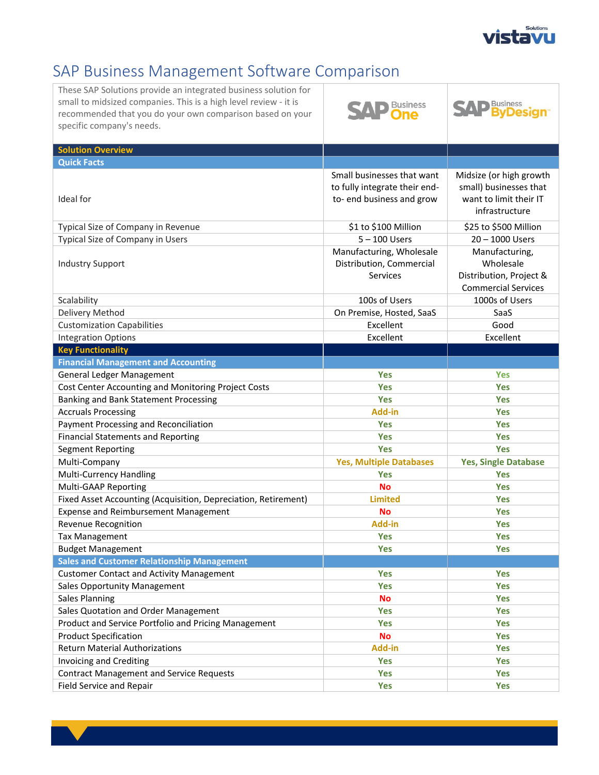

## SAP Business Management Software Comparison

| These SAP Solutions provide an integrated business solution for<br>small to midsized companies. This is a high level review - it is<br>recommended that you do your own comparison based on your<br>specific company's needs. | <b>Business</b>                                                                         | <b>Business</b>                                                                               |
|-------------------------------------------------------------------------------------------------------------------------------------------------------------------------------------------------------------------------------|-----------------------------------------------------------------------------------------|-----------------------------------------------------------------------------------------------|
| <b>Solution Overview</b>                                                                                                                                                                                                      |                                                                                         |                                                                                               |
| <b>Quick Facts</b>                                                                                                                                                                                                            |                                                                                         |                                                                                               |
| Ideal for                                                                                                                                                                                                                     | Small businesses that want<br>to fully integrate their end-<br>to-end business and grow | Midsize (or high growth<br>small) businesses that<br>want to limit their IT<br>infrastructure |
| Typical Size of Company in Revenue                                                                                                                                                                                            | \$1 to \$100 Million                                                                    | \$25 to \$500 Million                                                                         |
| Typical Size of Company in Users                                                                                                                                                                                              | $5 - 100$ Users                                                                         | 20 - 1000 Users                                                                               |
| <b>Industry Support</b>                                                                                                                                                                                                       | Manufacturing, Wholesale<br>Distribution, Commercial<br><b>Services</b>                 | Manufacturing,<br>Wholesale<br>Distribution, Project &<br><b>Commercial Services</b>          |
| Scalability                                                                                                                                                                                                                   | 100s of Users                                                                           | 1000s of Users                                                                                |
| Delivery Method                                                                                                                                                                                                               | On Premise, Hosted, SaaS                                                                | SaaS                                                                                          |
| <b>Customization Capabilities</b>                                                                                                                                                                                             | Excellent                                                                               | Good                                                                                          |
| <b>Integration Options</b>                                                                                                                                                                                                    | Excellent                                                                               | Excellent                                                                                     |
| <b>Key Functionality</b>                                                                                                                                                                                                      |                                                                                         |                                                                                               |
| <b>Financial Management and Accounting</b>                                                                                                                                                                                    |                                                                                         |                                                                                               |
| General Ledger Management                                                                                                                                                                                                     | <b>Yes</b>                                                                              | <b>Yes</b>                                                                                    |
| Cost Center Accounting and Monitoring Project Costs                                                                                                                                                                           | <b>Yes</b>                                                                              | <b>Yes</b>                                                                                    |
| Banking and Bank Statement Processing                                                                                                                                                                                         | <b>Yes</b>                                                                              | <b>Yes</b>                                                                                    |
| <b>Accruals Processing</b>                                                                                                                                                                                                    | Add-in                                                                                  | <b>Yes</b>                                                                                    |
| Payment Processing and Reconciliation                                                                                                                                                                                         | Yes                                                                                     | <b>Yes</b>                                                                                    |
| <b>Financial Statements and Reporting</b>                                                                                                                                                                                     | <b>Yes</b>                                                                              | <b>Yes</b>                                                                                    |
| <b>Segment Reporting</b>                                                                                                                                                                                                      | <b>Yes</b>                                                                              | Yes                                                                                           |
| Multi-Company                                                                                                                                                                                                                 | <b>Yes, Multiple Databases</b>                                                          | <b>Yes, Single Database</b>                                                                   |
| Multi-Currency Handling                                                                                                                                                                                                       | Yes                                                                                     | <b>Yes</b>                                                                                    |
| Multi-GAAP Reporting                                                                                                                                                                                                          | <b>No</b>                                                                               | <b>Yes</b>                                                                                    |
| Fixed Asset Accounting (Acquisition, Depreciation, Retirement)                                                                                                                                                                | <b>Limited</b>                                                                          | <b>Yes</b>                                                                                    |
| <b>Expense and Reimbursement Management</b>                                                                                                                                                                                   | No                                                                                      | <b>Yes</b>                                                                                    |
| Revenue Recognition                                                                                                                                                                                                           | <b>Add-in</b>                                                                           | <b>Yes</b>                                                                                    |
| <b>Tax Management</b>                                                                                                                                                                                                         | Yes                                                                                     | Yes                                                                                           |
| <b>Budget Management</b>                                                                                                                                                                                                      | Yes                                                                                     | <b>Yes</b>                                                                                    |
| <b>Sales and Customer Relationship Management</b>                                                                                                                                                                             |                                                                                         |                                                                                               |
| <b>Customer Contact and Activity Management</b>                                                                                                                                                                               | <b>Yes</b>                                                                              | Yes                                                                                           |
| <b>Sales Opportunity Management</b>                                                                                                                                                                                           | <b>Yes</b>                                                                              | <b>Yes</b>                                                                                    |
| <b>Sales Planning</b>                                                                                                                                                                                                         | <b>No</b>                                                                               | Yes                                                                                           |
| Sales Quotation and Order Management                                                                                                                                                                                          | <b>Yes</b>                                                                              | <b>Yes</b>                                                                                    |
| Product and Service Portfolio and Pricing Management                                                                                                                                                                          | <b>Yes</b>                                                                              | <b>Yes</b>                                                                                    |
| <b>Product Specification</b>                                                                                                                                                                                                  | <b>No</b>                                                                               | Yes                                                                                           |
| <b>Return Material Authorizations</b>                                                                                                                                                                                         | Add-in                                                                                  | Yes                                                                                           |
| Invoicing and Crediting                                                                                                                                                                                                       | <b>Yes</b>                                                                              | Yes                                                                                           |
| <b>Contract Management and Service Requests</b>                                                                                                                                                                               | Yes                                                                                     | Yes                                                                                           |
| Field Service and Repair                                                                                                                                                                                                      | Yes                                                                                     | Yes                                                                                           |